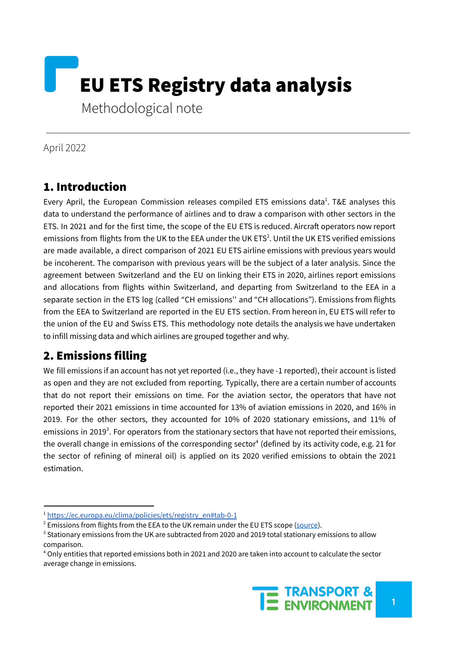

April 2022

### 1. Introduction

Every April, the European Commission releases compiled ETS emissions data<sup>1</sup>. T&E analyses this data to understand the performance of airlines and to draw a comparison with other sectors in the ETS. In 2021 and for the first time, the scope of the EU ETS is reduced. Aircraft operators now report emissions from flights from the UK to the EEA under the UK ETS<sup>2</sup>. Until the UK ETS verified emissions are made available, a direct comparison of 2021 EU ETS airline emissions with previous years would be incoherent. The comparison with previous years will be the subject of a later analysis. Since the agreement between Switzerland and the EU on linking their ETS in 2020, airlines report emissions and allocations from flights within Switzerland, and departing from Switzerland to the EEA in a separate section in the ETS log (called "CH emissions'' and "CH allocations"). Emissions from flights from the EEA to Switzerland are reported in the EU ETS section. From hereon in, EU ETS will refer to the union of the EU and Swiss ETS. This methodology note details the analysis we have undertaken to infill missing data and which airlines are grouped together and why.

# 2. Emissions filling

We fill emissions if an account has not yet reported (i.e., they have -1 reported), their account is listed as open and they are not excluded from reporting. Typically, there are a certain number of accounts that do not report their emissions on time. For the aviation sector, the operators that have not reported their 2021 emissions in time accounted for 13% of aviation emissions in 2020, and 16% in 2019. For the other sectors, they accounted for 10% of 2020 stationary emissions, and 11% of emissions in 2019<sup>3</sup>. For operators from the stationary sectors that have not reported their emissions, the overall change in emissions of the corresponding sector 4 (defined by its activity code, e.g. 21 for the sector of refining of mineral oil) is applied on its 2020 verified emissions to obtain the 2021 estimation.

<sup>4</sup> Only entities that reported emissions both in 2021 and 2020 are taken into account to calculate the sector average change in emissions.



<sup>&</sup>lt;sup>1</sup> [https://ec.europa.eu/clima/policies/ets/registry\\_en#tab-0-1](https://ec.europa.eu/clima/policies/ets/registry_en#tab-0-1)

<sup>&</sup>lt;sup>2</sup> Emissions from flights from the EEA to the UK remain under the EU ETS scope ([source\)](https://www.gov.uk/guidance/uk-emissions-trading-scheme-for-aviation-how-to-comply).

<sup>&</sup>lt;sup>3</sup> Stationary emissions from the UK are subtracted from 2020 and 2019 total stationary emissions to allow comparison.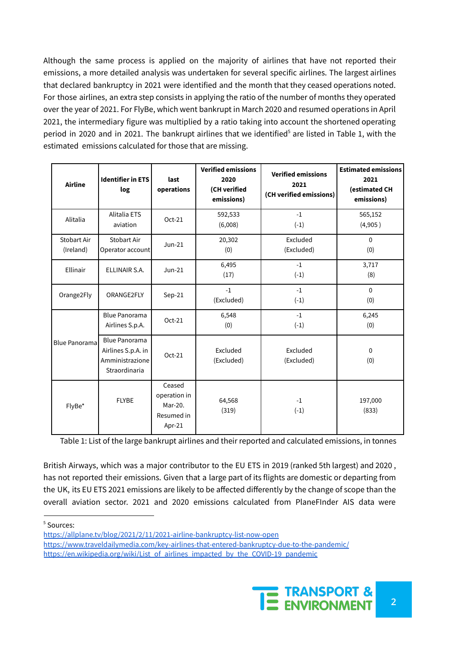Although the same process is applied on the majority of airlines that have not reported their emissions, a more detailed analysis was undertaken for several specific airlines. The largest airlines that declared bankruptcy in 2021 were identified and the month that they ceased operations noted. For those airlines, an extra step consists in applying the ratio of the number of months they operated over the year of 2021. For FlyBe, which went bankrupt in March 2020 and resumed operations in April 2021, the intermediary figure was multiplied by a ratio taking into account the shortened operating period in 2020 and in 2021. The bankrupt airlines that we identified<sup>5</sup> are listed in Table 1, with the estimated emissions calculated for those that are missing.

| <b>Airline</b>           | <b>Identifier in ETS</b><br>log                                                | last<br>operations                                        | <b>Verified emissions</b><br>2020<br>(CH verified<br>emissions) | <b>Verified emissions</b><br>2021<br>(CH verified emissions) | <b>Estimated emissions</b><br>2021<br>(estimated CH<br>emissions) |
|--------------------------|--------------------------------------------------------------------------------|-----------------------------------------------------------|-----------------------------------------------------------------|--------------------------------------------------------------|-------------------------------------------------------------------|
| Alitalia                 | <b>Alitalia ETS</b><br>aviation                                                | $Oct-21$                                                  | 592,533<br>(6,008)                                              | $-1$<br>$(-1)$                                               | 565,152<br>(4,905)                                                |
| Stobart Air<br>(Ireland) | <b>Stobart Air</b><br>Operator account                                         | $Jun-21$                                                  | 20,302<br>(0)                                                   | Excluded<br>(Excluded)                                       | $\mathbf{0}$<br>(0)                                               |
| Ellinair                 | ELLINAIR S.A.                                                                  | $Jun-21$                                                  | 6,495<br>(17)                                                   | $-1$<br>$(-1)$                                               | 3,717<br>(8)                                                      |
| Orange2Fly               | ORANGE2FLY                                                                     | $Sep-21$                                                  | $-1$<br>(Excluded)                                              | $-1$<br>$(-1)$                                               | $\mathbf{0}$<br>(0)                                               |
| <b>Blue Panorama</b>     | <b>Blue Panorama</b><br>Airlines S.p.A.                                        | $Oct-21$                                                  | 6,548<br>(0)                                                    | $-1$<br>$(-1)$                                               | 6,245<br>(0)                                                      |
|                          | <b>Blue Panorama</b><br>Airlines S.p.A. in<br>Amministrazione<br>Straordinaria | $Oct-21$                                                  | Excluded<br>(Excluded)                                          | Excluded<br>(Excluded)                                       | $\mathbf{0}$<br>(0)                                               |
| FlyBe*                   | <b>FLYBE</b>                                                                   | Ceased<br>operation in<br>Mar-20.<br>Resumed in<br>Apr-21 | 64,568<br>(319)                                                 | $-1$<br>$(-1)$                                               | 197,000<br>(833)                                                  |

Table 1: List of the large bankrupt airlines and their reported and calculated emissions, in tonnes

British Airways, which was a major contributor to the EU ETS in 2019 (ranked 5th largest) and 2020 , has not reported their emissions. Given that a large part of its flights are domestic or departing from the UK, its EU ETS 2021 emissions are likely to be affected differently by the change of scope than the overall aviation sector. 2021 and 2020 emissions calculated from PlaneFInder AIS data were

<sup>5</sup> Sources:

[https://www.traveldailymedia.com/key-airlines-that-entered-bankruptcy-due-to-the-pandemic/](https://allplane.tv/blog/2021/2/11/2021-airline-bankruptcy-list-now-open) [https://en.wikipedia.org/wiki/List\\_of\\_airlines\\_impacted\\_by\\_the\\_COVID-19\\_pandemic](https://allplane.tv/blog/2021/2/11/2021-airline-bankruptcy-list-now-open)



<https://allplane.tv/blog/2021/2/11/2021-airline-bankruptcy-list-now-open>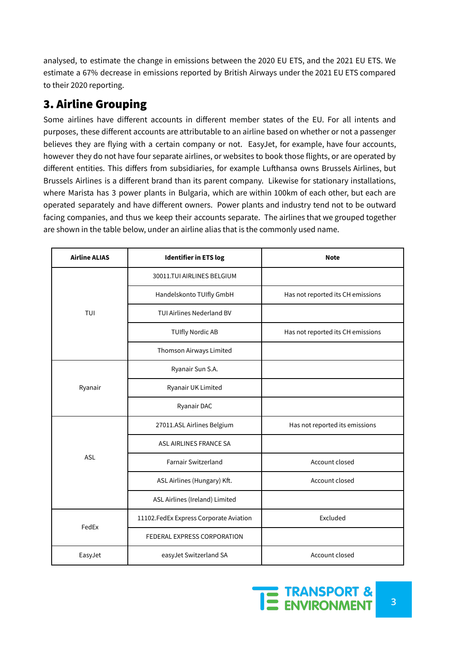analysed, to estimate the change in emissions between the 2020 EU ETS, and the 2021 EU ETS. We estimate a 67% decrease in emissions reported by British Airways under the 2021 EU ETS compared to their 2020 reporting.

# 3. Airline Grouping

Some airlines have different accounts in different member states of the EU. For all intents and purposes, these different accounts are attributable to an airline based on whether or not a passenger believes they are flying with a certain company or not. EasyJet, for example, have four accounts, however they do not have four separate airlines, or websites to book those flights, or are operated by different entities. This differs from subsidiaries, for example Lufthansa owns Brussels Airlines, but Brussels Airlines is a different brand than its parent company. Likewise for stationary installations, where Marista has 3 power plants in Bulgaria, which are within 100km of each other, but each are operated separately and have different owners. Power plants and industry tend not to be outward facing companies, and thus we keep their accounts separate. The airlines that we grouped together are shown in the table below, under an airline alias that is the commonly used name.

| <b>Airline ALIAS</b> | <b>Identifier in ETS log</b>             | <b>Note</b>                       |  |
|----------------------|------------------------------------------|-----------------------------------|--|
|                      | 30011.TUI AIRLINES BELGIUM               |                                   |  |
|                      | Handelskonto TUIfly GmbH                 | Has not reported its CH emissions |  |
| TUI                  | TUI Airlines Nederland BV                |                                   |  |
|                      | <b>TUIfly Nordic AB</b>                  | Has not reported its CH emissions |  |
|                      | Thomson Airways Limited                  |                                   |  |
|                      | Ryanair Sun S.A.                         |                                   |  |
| Ryanair              | Ryanair UK Limited                       |                                   |  |
|                      | Ryanair DAC                              |                                   |  |
|                      | 27011.ASL Airlines Belgium               | Has not reported its emissions    |  |
|                      | ASL AIRLINES FRANCE SA                   |                                   |  |
| ASL                  | <b>Farnair Switzerland</b>               | Account closed                    |  |
|                      | ASL Airlines (Hungary) Kft.              | Account closed                    |  |
|                      | ASL Airlines (Ireland) Limited           |                                   |  |
| FedEx                | 11102. Fed Ex Express Corporate Aviation | Excluded                          |  |
|                      | FEDERAL EXPRESS CORPORATION              |                                   |  |
| EasyJet              | easyJet Switzerland SA                   | Account closed                    |  |

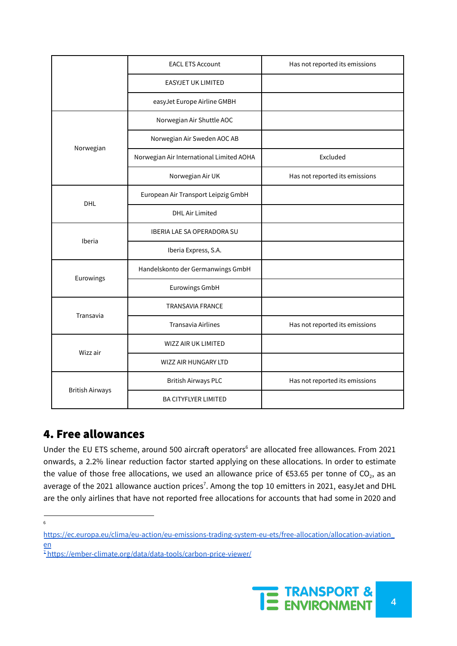|                        | <b>EACL ETS Account</b>                  | Has not reported its emissions |  |
|------------------------|------------------------------------------|--------------------------------|--|
|                        | <b>EASYJET UK LIMITED</b>                |                                |  |
|                        | easyJet Europe Airline GMBH              |                                |  |
|                        | Norwegian Air Shuttle AOC                |                                |  |
| Norwegian              | Norwegian Air Sweden AOC AB              |                                |  |
|                        | Norwegian Air International Limited AOHA | Excluded                       |  |
|                        | Norwegian Air UK                         | Has not reported its emissions |  |
| <b>DHL</b>             | European Air Transport Leipzig GmbH      |                                |  |
|                        | <b>DHL Air Limited</b>                   |                                |  |
| Iberia                 | <b>IBERIA LAE SA OPERADORA SU</b>        |                                |  |
|                        | Iberia Express, S.A.                     |                                |  |
| Eurowings              | Handelskonto der Germanwings GmbH        |                                |  |
|                        | <b>Eurowings GmbH</b>                    |                                |  |
| Transavia              | <b>TRANSAVIA FRANCE</b>                  |                                |  |
|                        | <b>Transavia Airlines</b>                | Has not reported its emissions |  |
| Wizz air               | WIZZ AIR UK LIMITED                      |                                |  |
|                        | <b>WIZZ AIR HUNGARY LTD</b>              |                                |  |
| <b>British Airways</b> | <b>British Airways PLC</b>               | Has not reported its emissions |  |
|                        | <b>BA CITYFLYER LIMITED</b>              |                                |  |

### 4. Free allowances

Under the EU ETS scheme, around 500 aircraft operators<sup>6</sup> are allocated free allowances. From 2021 onwards, a 2.2% linear reduction factor started applying on these allocations. In order to estimate the value of those free allocations, we used an allowance price of €53.65 per tonne of CO<sub>2</sub>, as an average of the 2021 allowance auction prices<sup>7</sup>. Among the top 10 emitters in 2021, easyJet and DHL are the only airlines that have not reported free allocations for accounts that had some in 2020 and

<sup>&</sup>lt;sup>7</sup> <https://ember-climate.org/data/data-tools/carbon-price-viewer/>



<sup>6</sup>

[https://ec.europa.eu/clima/eu-action/eu-emissions-trading-system-eu-ets/free-allocation/allocation-aviation\\_](https://ec.europa.eu/clima/eu-action/eu-emissions-trading-system-eu-ets/free-allocation/allocation-aviation_en) [en](https://ec.europa.eu/clima/eu-action/eu-emissions-trading-system-eu-ets/free-allocation/allocation-aviation_en)